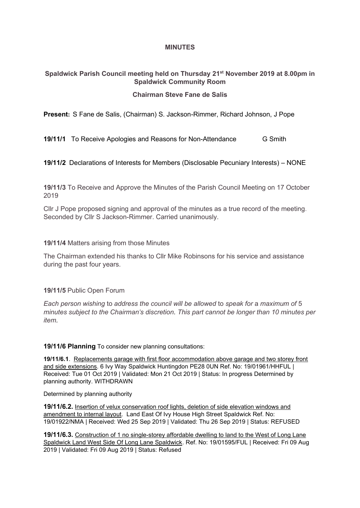### **MINUTES**

# **Spaldwick Parish Council meeting held on Thursday 21st November 2019 at 8.00pm in Spaldwick Community Room**

## **Chairman Steve Fane de Salis**

**Present:** S Fane de Salis, (Chairman) S. Jackson-Rimmer, Richard Johnson, J Pope

**19/11/1** To Receive Apologies and Reasons for Non-Attendance **G** Smith

**19/11/2** Declarations of Interests for Members (Disclosable Pecuniary Interests) – NONE

**19/11/3** To Receive and Approve the Minutes of the Parish Council Meeting on 17 October 2019

Cllr J Pope proposed signing and approval of the minutes as a true record of the meeting. Seconded by Cllr S Jackson-Rimmer. Carried unanimously.

#### **19/11/4** Matters arising from those Minutes

The Chairman extended his thanks to Cllr Mike Robinsons for his service and assistance during the past four years.

### **19/11/5** Public Open Forum

*Each person wishing* to *address the council will be allowed* to *speak for* a *maximum of* 5 *minutes subject to the Chairman's discretion. This part cannot be longer than 10 minutes per item.*

**19/11/6 Planning** To consider new planning consultations:

**19/11/6.1**. Replacements garage with first floor accommodation above garage and two storey front and side extensions. 6 Ivy Way Spaldwick Huntingdon PE28 0UN Ref. No: 19/01961/HHFUL | Received: Tue 01 Oct 2019 | Validated: Mon 21 Oct 2019 | Status: In progress Determined by planning authority. WITHDRAWN

### Determined by planning authority

**19/11/6.2.** Insertion of velux conservation roof lights, deletion of side elevation windows and amendment to internal layout. Land East Of Ivy House High Street Spaldwick Ref. No: 19/01922/NMA | Received: Wed 25 Sep 2019 | Validated: Thu 26 Sep 2019 | Status: REFUSED

**19/11/6.3.** Construction of 1 no single-storey affordable dwelling to land to the West of Long Lane Spaldwick Land West Side Of Long Lane Spaldwick. Ref. No: 19/01595/FUL | Received: Fri 09 Aug 2019 | Validated: Fri 09 Aug 2019 | Status: Refused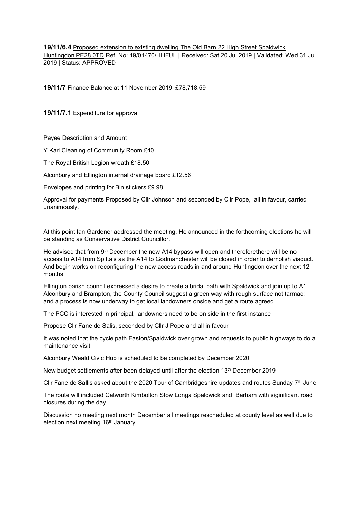**19/11/6.4** Proposed extension to existing dwelling The Old Barn 22 High Street Spaldwick Huntingdon PE28 0TD Ref. No: 19/01470/HHFUL | Received: Sat 20 Jul 2019 | Validated: Wed 31 Jul 2019 | Status: APPROVED

**19/11/7** Finance Balance at 11 November 2019 £78,718.59

**19/11/7.1** Expenditure for approval

Payee Description and Amount

Y Karl Cleaning of Community Room £40

The Royal British Legion wreath £18.50

Alconbury and Ellington internal drainage board £12.56

Envelopes and printing for Bin stickers £9.98

Approval for payments Proposed by Cllr Johnson and seconded by Cllr Pope, all in favour, carried unanimously.

At this point Ian Gardener addressed the meeting. He announced in the forthcoming elections he will be standing as Conservative District Councillor.

He advised that from 9<sup>th</sup> December the new A14 bypass will open and thereforethere will be no access to A14 from Spittals as the A14 to Godmanchester will be closed in order to demolish viaduct. And begin works on reconfiguring the new access roads in and around Huntingdon over the next 12 months.

Ellington parish council expressed a desire to create a bridal path with Spaldwick and join up to A1 Alconbury and Brampton, the County Council suggest a green way with rough surface not tarmac; and a process is now underway to get local landowners onside and get a route agreed

The PCC is interested in principal, landowners need to be on side in the first instance

Propose Cllr Fane de Salis, seconded by Cllr J Pope and all in favour

It was noted that the cycle path Easton/Spaldwick over grown and requests to public highways to do a maintenance visit

Alconbury Weald Civic Hub is scheduled to be completed by December 2020.

New budget settlements after been delayed until after the election 13th December 2019

Cllr Fane de Sallis asked about the 2020 Tour of Cambridgeshire updates and routes Sunday  $7<sup>th</sup>$  June

The route will included Catworth Kimbolton Stow Longa Spaldwick and Barham with siginificant road closures during the day.

Discussion no meeting next month December all meetings rescheduled at county level as well due to election next meeting 16<sup>th</sup> January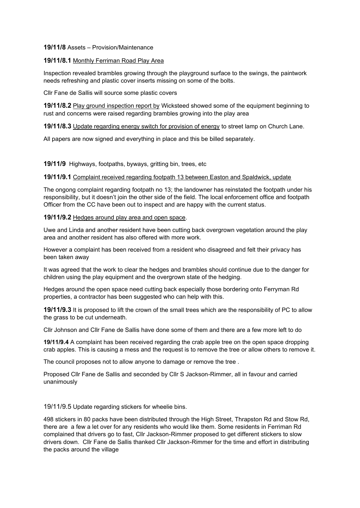#### **19/11/8** Assets – Provision/Maintenance

#### **19/11/8.1** Monthly Ferriman Road Play Area

Inspection revealed brambles growing through the playground surface to the swings, the paintwork needs refreshing and plastic cover inserts missing on some of the bolts.

Cllr Fane de Sallis will source some plastic covers

**19/11/8.2** Play ground inspection report by Wicksteed showed some of the equipment beginning to rust and concerns were raised regarding brambles growing into the play area

**19/11/8.3** Update regarding energy switch for provision of energy to street lamp on Church Lane.

All papers are now signed and everything in place and this be billed separately.

**19/11/9** Highways, footpaths, byways, gritting bin, trees, etc

#### **19/11/9.1** Complaint received regarding footpath 13 between Easton and Spaldwick, update

The ongong complaint regarding footpath no 13; the landowner has reinstated the footpath under his responsibility, but it doesn't join the other side of the field. The local enforcement office and footpath Officer from the CC have been out to inspect and are happy with the current status.

#### **19/11/9.2** Hedges around play area and open space.

Uwe and Linda and another resident have been cutting back overgrown vegetation around the play area and another resident has also offered with more work.

However a complaint has been received from a resident who disagreed and felt their privacy has been taken away

It was agreed that the work to clear the hedges and brambles should continue due to the danger for children using the play equipment and the overgrown state of the hedging.

Hedges around the open space need cutting back especially those bordering onto Ferryman Rd properties, a contractor has been suggested who can help with this.

**19/11/9.3** It is proposed to lift the crown of the small trees which are the responsibility of PC to allow the grass to be cut underneath.

Cllr Johnson and Cllr Fane de Sallis have done some of them and there are a few more left to do

**19/11/9.4** A complaint has been received regarding the crab apple tree on the open space dropping crab apples. This is causing a mess and the request is to remove the tree or allow others to remove it.

The council proposes not to allow anyone to damage or remove the tree .

Proposed Cllr Fane de Sallis and seconded by Cllr S Jackson-Rimmer, all in favour and carried unanimously

19/11/9.5 Update regarding stickers for wheelie bins.

498 stickers in 80 packs have been distributed through the High Street, Thrapston Rd and Stow Rd, there are a few a let over for any residents who would like them. Some residents in Ferriman Rd complained that drivers go to fast, Cllr Jackson-Rimmer proposed to get different stickers to slow drivers down. Cllr Fane de Sallis thanked Cllr Jackson-Rimmer for the time and effort in distributing the packs around the village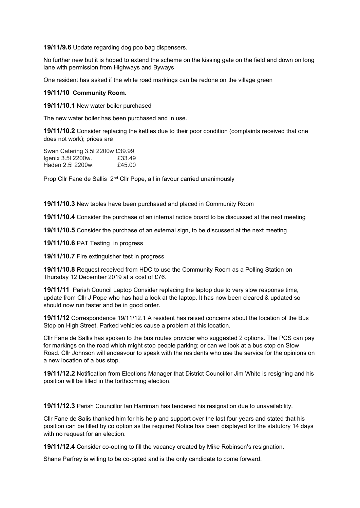**19/11/9.6** Update regarding dog poo bag dispensers.

No further new but it is hoped to extend the scheme on the kissing gate on the field and down on long lane with permission from Highways and Byways

One resident has asked if the white road markings can be redone on the village green

#### **19/11/10 Community Room.**

**19/11/10.1** New water boiler purchased

The new water boiler has been purchased and in use.

**19/11/10.2** Consider replacing the kettles due to their poor condition (complaints received that one does not work); prices are

Swan Catering 3.5l 2200w £39.99 Igenix 3.5l 2200w. £33.49<br>Haden 2.5l 2200w. £45.00 Haden 2.5l 2200w.

Prop Cllr Fane de Sallis 2<sup>nd</sup> Cllr Pope, all in favour carried unanimously

**19/11/10.3** New tables have been purchased and placed in Community Room

**19/11/10.4** Consider the purchase of an internal notice board to be discussed at the next meeting

**19/11/10.5** Consider the purchase of an external sign, to be discussed at the next meeting

**19/11/10.6** PAT Testing in progress

**19/11/10.7** Fire extinguisher test in progress

**19/11/10.8** Request received from HDC to use the Community Room as a Polling Station on Thursday 12 December 2019 at a cost of £76.

**19/11/11** Parish Council Laptop Consider replacing the laptop due to very slow response time, update from Cllr J Pope who has had a look at the laptop. It has now been cleared & updated so should now run faster and be in good order.

**19/11/12** Correspondence 19/11/12.1 A resident has raised concerns about the location of the Bus Stop on High Street, Parked vehicles cause a problem at this location.

Cllr Fane de Sallis has spoken to the bus routes provider who suggested 2 options. The PCS can pay for markings on the road which might stop people parking; or can we look at a bus stop on Stow Road. Cllr Johnson will endeavour to speak with the residents who use the service for the opinions on a new location of a bus stop.

**19/11/12.2** Notification from Elections Manager that District Councillor Jim White is resigning and his position will be filled in the forthcoming election.

**19/11/12.3** Parish Councillor Ian Harriman has tendered his resignation due to unavailability.

Cllr Fane de Salis thanked him for his help and support over the last four years and stated that his position can be filled by co option as the required Notice has been displayed for the statutory 14 days with no request for an election.

**19/11/12.4** Consider co-opting to fill the vacancy created by Mike Robinson's resignation.

Shane Parfrey is willing to be co-opted and is the only candidate to come forward.